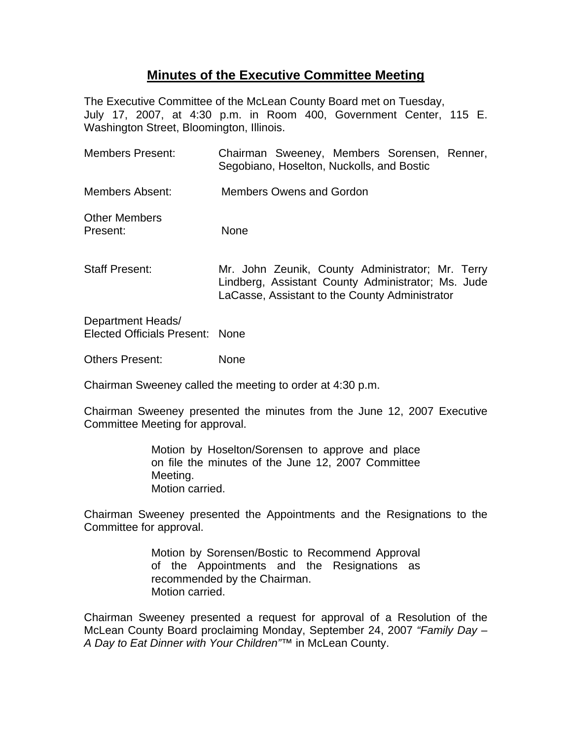## **Minutes of the Executive Committee Meeting**

The Executive Committee of the McLean County Board met on Tuesday, July 17, 2007, at 4:30 p.m. in Room 400, Government Center, 115 E. Washington Street, Bloomington, Illinois.

| <b>Members Present:</b>                              | Chairman Sweeney, Members Sorensen, Renner,<br>Segobiano, Hoselton, Nuckolls, and Bostic                                                                 |
|------------------------------------------------------|----------------------------------------------------------------------------------------------------------------------------------------------------------|
| Members Absent:                                      | <b>Members Owens and Gordon</b>                                                                                                                          |
| <b>Other Members</b><br>Present:                     | <b>None</b>                                                                                                                                              |
| <b>Staff Present:</b>                                | Mr. John Zeunik, County Administrator; Mr. Terry<br>Lindberg, Assistant County Administrator; Ms. Jude<br>LaCasse, Assistant to the County Administrator |
| Department Heads/<br>Elected Officials Present: None |                                                                                                                                                          |
| <b>Others Present:</b>                               | <b>None</b>                                                                                                                                              |

Chairman Sweeney called the meeting to order at 4:30 p.m.

Chairman Sweeney presented the minutes from the June 12, 2007 Executive Committee Meeting for approval.

> Motion by Hoselton/Sorensen to approve and place on file the minutes of the June 12, 2007 Committee Meeting. Motion carried.

Chairman Sweeney presented the Appointments and the Resignations to the Committee for approval.

> Motion by Sorensen/Bostic to Recommend Approval of the Appointments and the Resignations as recommended by the Chairman. Motion carried.

Chairman Sweeney presented a request for approval of a Resolution of the McLean County Board proclaiming Monday, September 24, 2007 *"Family Day – A Day to Eat Dinner with Your Children"*™ in McLean County.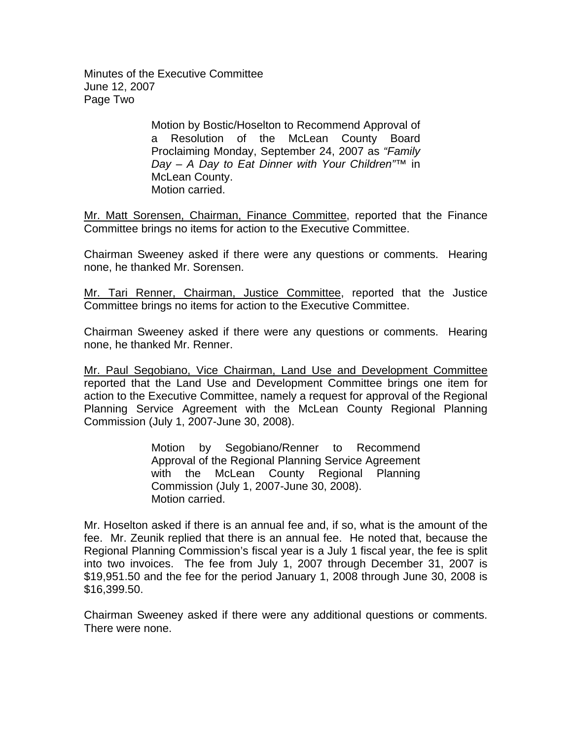Minutes of the Executive Committee June 12, 2007 Page Two

> Motion by Bostic/Hoselton to Recommend Approval of a Resolution of the McLean County Board Proclaiming Monday, September 24, 2007 as *"Family Day – A Day to Eat Dinner with Your Children"*™ in McLean County. Motion carried.

Mr. Matt Sorensen, Chairman, Finance Committee, reported that the Finance Committee brings no items for action to the Executive Committee.

Chairman Sweeney asked if there were any questions or comments. Hearing none, he thanked Mr. Sorensen.

Mr. Tari Renner, Chairman, Justice Committee, reported that the Justice Committee brings no items for action to the Executive Committee.

Chairman Sweeney asked if there were any questions or comments. Hearing none, he thanked Mr. Renner.

Mr. Paul Segobiano, Vice Chairman, Land Use and Development Committee reported that the Land Use and Development Committee brings one item for action to the Executive Committee, namely a request for approval of the Regional Planning Service Agreement with the McLean County Regional Planning Commission (July 1, 2007-June 30, 2008).

> Motion by Segobiano/Renner to Recommend Approval of the Regional Planning Service Agreement with the McLean County Regional Planning Commission (July 1, 2007-June 30, 2008). Motion carried.

Mr. Hoselton asked if there is an annual fee and, if so, what is the amount of the fee. Mr. Zeunik replied that there is an annual fee. He noted that, because the Regional Planning Commission's fiscal year is a July 1 fiscal year, the fee is split into two invoices. The fee from July 1, 2007 through December 31, 2007 is \$19,951.50 and the fee for the period January 1, 2008 through June 30, 2008 is \$16,399.50.

Chairman Sweeney asked if there were any additional questions or comments. There were none.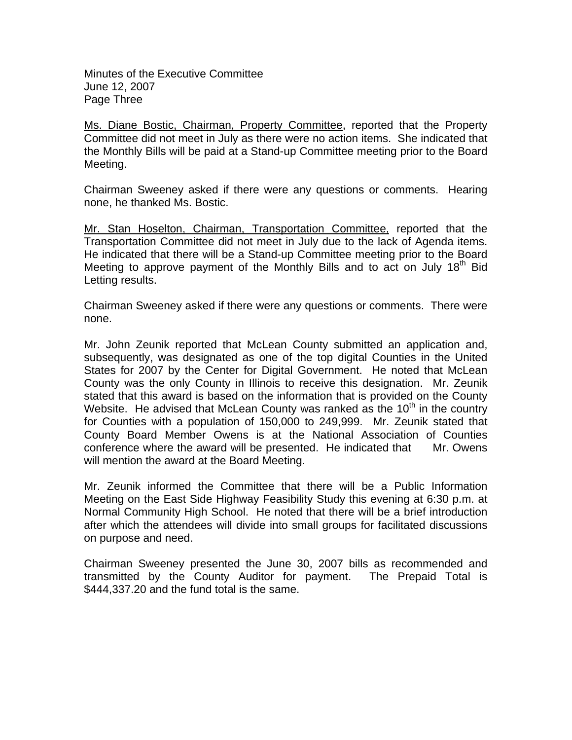Minutes of the Executive Committee June 12, 2007 Page Three

Ms. Diane Bostic, Chairman, Property Committee, reported that the Property Committee did not meet in July as there were no action items. She indicated that the Monthly Bills will be paid at a Stand-up Committee meeting prior to the Board Meeting.

Chairman Sweeney asked if there were any questions or comments. Hearing none, he thanked Ms. Bostic.

Mr. Stan Hoselton, Chairman, Transportation Committee, reported that the Transportation Committee did not meet in July due to the lack of Agenda items. He indicated that there will be a Stand-up Committee meeting prior to the Board Meeting to approve payment of the Monthly Bills and to act on July 18<sup>th</sup> Bid Letting results.

Chairman Sweeney asked if there were any questions or comments. There were none.

Mr. John Zeunik reported that McLean County submitted an application and, subsequently, was designated as one of the top digital Counties in the United States for 2007 by the Center for Digital Government. He noted that McLean County was the only County in Illinois to receive this designation. Mr. Zeunik stated that this award is based on the information that is provided on the County Website. He advised that McLean County was ranked as the  $10<sup>th</sup>$  in the country for Counties with a population of 150,000 to 249,999. Mr. Zeunik stated that County Board Member Owens is at the National Association of Counties conference where the award will be presented. He indicated that Mr. Owens will mention the award at the Board Meeting.

Mr. Zeunik informed the Committee that there will be a Public Information Meeting on the East Side Highway Feasibility Study this evening at 6:30 p.m. at Normal Community High School. He noted that there will be a brief introduction after which the attendees will divide into small groups for facilitated discussions on purpose and need.

Chairman Sweeney presented the June 30, 2007 bills as recommended and transmitted by the County Auditor for payment. The Prepaid Total is \$444,337.20 and the fund total is the same.